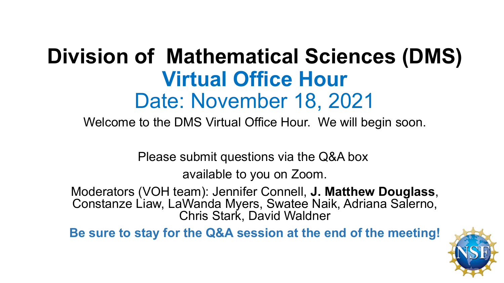# **Division of Mathematical Sciences (DMS) Virtual Office Hour** Date: November 18, 2021

Welcome to the DMS Virtual Office Hour. We will begin soon.

Please submit questions via the Q&A box

available to you on Zoom.

Moderators (VOH team): Jennifer Connell, **J. Matthew Douglass**, Constanze Liaw, LaWanda Myers, Swatee Naik, Adriana Salerno, Chris Stark, David Waldner

**Be sure to stay for the Q&A session at the end of the meeting!**

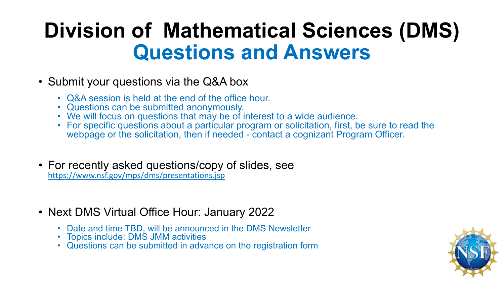# **Division of Mathematical Sciences (DMS) Questions and Answers**

- Submit your questions via the Q&A box
	-
	-
	-
	- Q&A session is held at the end of the office hour.<br>• Questions can be submitted anonymously.<br>• We will focus on questions that may be of interest to a wide audience.<br>• For specific questions about a particular program or webpage or the solicitation, then if needed - contact a cognizant Program Officer.
- For recently asked questions/copy of slides, see <https://www.nsf.gov/mps/dms/presentations.jsp>
- Next DMS Virtual Office Hour: January 2022
	- Date and time TBD, will be announced in the DMS Newsletter<br>• Topics include: DMS JMM activities<br>• Questions can be submitted in advance on the registration form
	-
	-

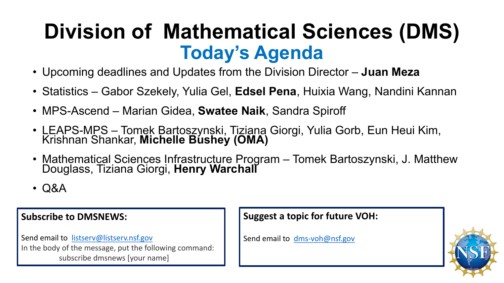## **Division of Mathematical Sciences (DMS) Today's Agenda**

- Upcoming deadlines and Updates from the Division Director **Juan Meza**
- Statistics Gabor Szekely, Yulia Gel, **Edsel Pena**, Huixia Wang, Nandini Kannan
- MPS-Ascend Marian Gidea, **Swatee Naik**, Sandra Spiroff
- LEAPS-MPS Tomek Bartoszynski, Tiziana Giorgi, Yulia Gorb, Eun Heui Kim, Krishnan Shankar, **Michelle Bushey (OMA)**
- Mathematical Sciences Infrastructure Program Tomek Bartoszynski, J. Matthew Douglass, Tiziana Giorgi, **Henry Warchall**
- Q&A

#### **Subscribe to DMSNEWS:**

Send email to [listserv@listserv.nsf.gov](mailto:listserv@listserv.nsf.gov) In the body of the message, put the following command: subscribe dmsnews [your name]

#### **Suggest a topic for future VOH:**

Send email to [dms-voh@nsf.gov](mailto:dms-voh@nsf.gov)

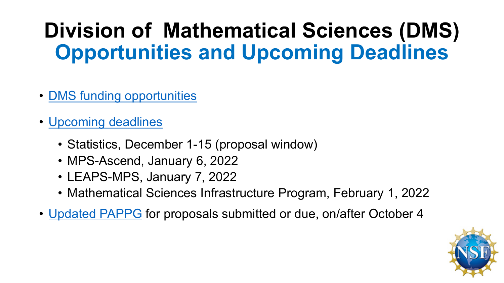# **Division of Mathematical Sciences (DMS) Opportunities and Upcoming Deadlines**

- [DMS funding opportunities](https://www.nsf.gov/funding/programs.jsp?org=DMS)
- [Upcoming deadlines](https://www.nsf.gov/funding/pgm_list.jsp?ord=date&org=NSF&sel_org=DMS&status=1)
	- Statistics, December 1-15 (proposal window)
	- MPS-Ascend, January 6, 2022
	- LEAPS-MPS, January 7, 2022
	- Mathematical Sciences Infrastructure Program, February 1, 2022
- [Updated PAPPG](https://www.nsf.gov/publications/pub_summ.jsp?ods_key=nsf22001) for proposals submitted or due, on/after October 4

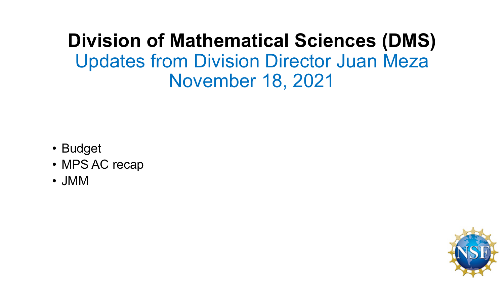## **Division of Mathematical Sciences (DMS)** Updates from Division Director Juan Meza November 18, 2021

- Budget
- MPS AC recap
- JMM

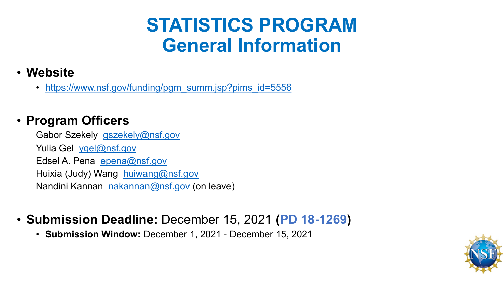## **STATISTICS PROGRAM General Information**

### • **Website**

• [https://www.nsf.gov/funding/pgm\\_summ.jsp?pims\\_id=5556](https://www.nsf.gov/funding/pgm_summ.jsp?pims_id=5556)

### • **Program Officers**

Gabor Szekely [gszekely@nsf.gov](mailto:gszekely@nsf.gov) Yulia Gel [ygel@nsf.gov](mailto:ygel@nsf.gov) Edsel A. Pena [epena@nsf.gov](mailto:epena@nsf.gov) Huixia (Judy) Wang [huiwang@nsf.gov](mailto:huiwang@nsf.gov) Nandini Kannan [nakannan@nsf.gov](mailto:nakannan@nsf.gov) (on leave)

### • **Submission Deadline:** December 15, 2021 **(PD 18-1269)**

• **Submission Window:** December 1, 2021 - December 15, 2021

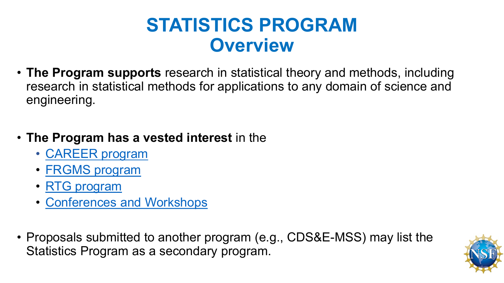## **STATISTICS PROGRAM Overview**

- **The Program supports** research in statistical theory and methods, including research in statistical methods for applications to any domain of science and engineering.
- **The Program has a vested interest** in the
	- [CAREER program](https://www.nsf.gov/funding/pgm_summ.jsp?pims_id=503214)
	- [FRGMS program](https://www.nsf.gov/funding/pgm_summ.jsp?pims_id=5671)
	- [RTG program](https://www.nsf.gov/funding/pgm_summ.jsp?pims_id=5732)
	- [Conferences and Workshops](https://www.nsf.gov/funding/pgm_summ.jsp?pims_id=11701&org=NSF)
- Proposals submitted to another program (e.g., CDS&E-MSS) may list the Statistics Program as a secondary program.

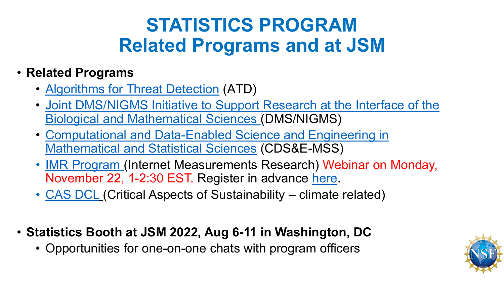## **STATISTICS PROGRAM Related Programs and at JSM**

### • **Related Programs**

- [Algorithms for Threat Detection](https://www.nsf.gov/funding/pgm_summ.jsp?pims_id=503427&org=NSF) (ATD)
- [Joint DMS/NIGMS Initiative to Support Research at the Interface of the](https://www.nsf.gov/funding/pgm_summ.jsp?pims_id=5300&org=NSF) Biological and Mathematical Sciences (DMS/NIGMS)
- [Computational and Data-Enabled Science and Engineering in](https://www.nsf.gov/funding/pgm_summ.jsp?pims_id=504687&org=NSF)  Mathematical and Statistical Sciences (CDS&E-MSS)
- [IMR Program](https://beta.nsf.gov/funding/opportunities/internet-measurement-research-methodologies-tools-and-infrastructure-imr) (Internet Measurements Research) Webinar on Monday, November 22, 1-2:30 EST. Register in advance [here.](https://nsf.zoomgov.com/webinar/register/WN_iER8N0gaS0C6Bzic0TECTQ)
- [CAS DCL](https://beta.nsf.gov/funding/opportunities/critical-aspects-sustainability-cas-innovative-solutions-climate-change) (Critical Aspects of Sustainability climate related)
- **Statistics Booth at JSM 2022, Aug 6-11 in Washington, DC**
	- Opportunities for one-on-one chats with program officers

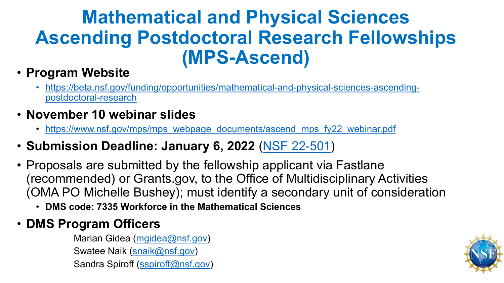## **Mathematical and Physical Sciences Ascending Postdoctoral Research Fellowships (MPS-Ascend)**

### • **Program Website**

- [https://beta.nsf.gov/funding/opportunities/mathematical-and-physical-sciences-ascending](https://beta.nsf.gov/funding/opportunities/mathematical-and-physical-sciences-ascending-postdoctoral-research)postdoctoral-research
- **November 10 webinar slides**
	- [https://www.nsf.gov/mps/mps\\_webpage\\_documents/ascend\\_mps\\_fy22\\_webinar.pdf](https://www.nsf.gov/mps/mps_webpage_documents/ascend_mps_fy22_webinar.pdf)
- **Submission Deadline: January 6, 2022** [\(NSF 22-501](https://www.nsf.gov/publications/pub_summ.jsp?ods_key=nsf22501))
- Proposals are submitted by the fellowship applicant via Fastlane (recommended) or Grants.gov, to the Office of Multidisciplinary Activities (OMA PO Michelle Bushey); must identify a secondary unit of consideration
	- **DMS code: 7335 Workforce in the Mathematical Sciences**
- **DMS Program Officers**

Marian Gidea [\(mgidea@nsf.gov\)](mailto:mgidea@nsf.gov) Swatee Naik [\(snaik@nsf.gov\)](mailto:snaik@nsf.gov) Sandra Spiroff [\(sspiroff@nsf.gov](mailto:sspiroff@nsf.gov))

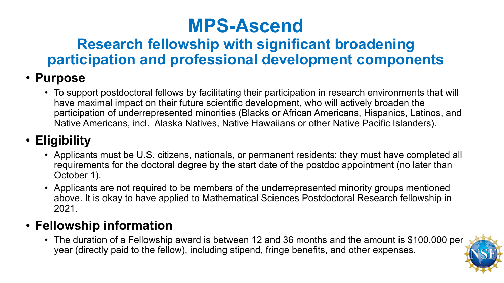## **MPS-Ascend**

## **Research fellowship with significant broadening participation and professional development components**

### • **Purpose**

• To support postdoctoral fellows by facilitating their participation in research environments that will have maximal impact on their future scientific development, who will actively broaden the participation of underrepresented minorities (Blacks or African Americans, Hispanics, Latinos, and Native Americans, incl. Alaska Natives, Native Hawaiians or other Native Pacific Islanders).

## • **Eligibility**

- Applicants must be U.S. citizens, nationals, or permanent residents; they must have completed all requirements for the doctoral degree by the start date of the postdoc appointment (no later than October 1).
- Applicants are not required to be members of the underrepresented minority groups mentioned above. It is okay to have applied to Mathematical Sciences Postdoctoral Research fellowship in 2021.

### • **Fellowship information**

• The duration of a Fellowship award is between 12 and 36 months and the amount is \$100,000 per year (directly paid to the fellow), including stipend, fringe benefits, and other expenses.

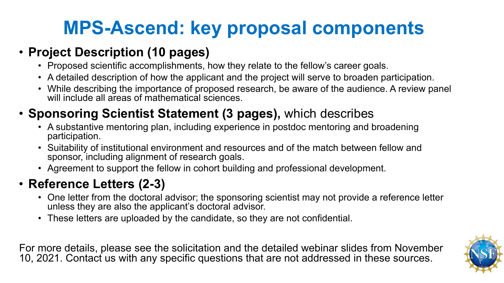## **MPS-Ascend: key proposal components**

### • **Project Description (10 pages)**

- Proposed scientific accomplishments, how they relate to the fellow's career goals.
- A detailed description of how the applicant and the project will serve to broaden participation.
- While describing the importance of proposed research, be aware of the audience. A review panel will include all areas of mathematical sciences.

## • **Sponsoring Scientist Statement (3 pages),** which describes

- A substantive mentoring plan, including experience in postdoc mentoring and broadening participation.
- Suitability of institutional environment and resources and of the match between fellow and sponsor, including alignment of research goals.
- Agreement to support the fellow in cohort building and professional development.

## • **Reference Letters (2-3)**

- One letter from the doctoral advisor; the sponsoring scientist may not provide a reference letter unless they are also the applicant's doctoral advisor.
- These letters are uploaded by the candidate, so they are not confidential.

For more details, please see the solicitation and the detailed webinar slides from November 10, 2021. Contact us with any specific questions that are not addressed in these sources.

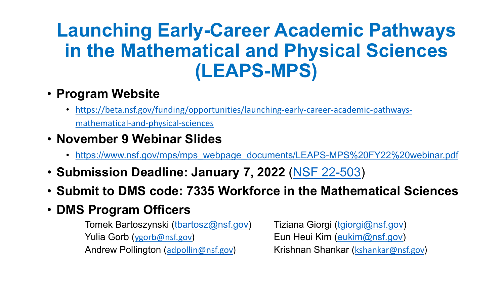## **Launching Early-Career Academic Pathways in the Mathematical and Physical Sciences (LEAPS-MPS)**

- **Program Website**
	- [https://beta.nsf.gov/funding/opportunities/launching-early-career-academic-pathways](https://beta.nsf.gov/funding/opportunities/launching-early-career-academic-pathways-mathematical-and-physical-sciences)mathematical-and-physical-sciences
- **November 9 Webinar Slides**
	- [https://www.nsf.gov/mps/mps\\_webpage\\_documents/LEAPS-MPS%20FY22%20webinar.pdf](https://www.nsf.gov/mps/mps_webpage_documents/LEAPS-MPS%20FY22%20webinar.pdf)
- **Submission Deadline: January 7, 2022** [\(NSF 22-503\)](https://www.nsf.gov/publications/pub_summ.jsp?WT.z_pims_id=505892&ods_key=nsf22503)
- **Submit to DMS code: 7335 Workforce in the Mathematical Sciences**
- **DMS Program Officers**

Tomek Bartoszynski ([tbartosz@nsf.gov](mailto:tbartosz@nsf.gov)) Tiziana Giorgi [\(tgiorgi@nsf.gov](mailto:tgiorgi@nsf.gov)) Yulia Gorb ([ygorb@nsf.gov\)](mailto:ygorb@nsf.gov) Eun Heui Kim ([eukim@nsf.gov](mailto:eukim@nsf.gov)) Andrew Pollington ([adpollin@nsf.gov](mailto:adpollin@nsf.gov)) Krishnan Shankar ([kshankar@nsf.gov\)](mailto:kshankar@nsf.gov)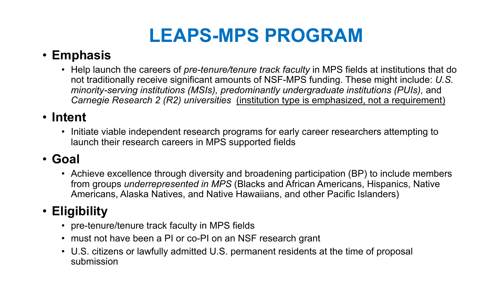## **LEAPS-MPS PROGRAM**

### • **Emphasis**

• Help launch the careers of *pre-tenure/tenure track faculty* in MPS fields at institutions that do not traditionally receive significant amounts of NSF-MPS funding. These might include: *U.S. minority-serving institutions (MSIs), predominantly undergraduate institutions (PUIs),* and *Carnegie Research 2 (R2) universities* (institution type is emphasized, not a requirement)

### • **Intent**

• Initiate viable independent research programs for early career researchers attempting to launch their research careers in MPS supported fields

### • **Goal**

• Achieve excellence through diversity and broadening participation (BP) to include members from groups *underrepresented in MPS* (Blacks and African Americans, Hispanics, Native Americans, Alaska Natives, and Native Hawaiians, and other Pacific Islanders)

### • **Eligibility**

- pre-tenure/tenure track faculty in MPS fields
- must not have been a PI or co-PI on an NSF research grant
- U.S. citizens or lawfully admitted U.S. permanent residents at the time of proposal submission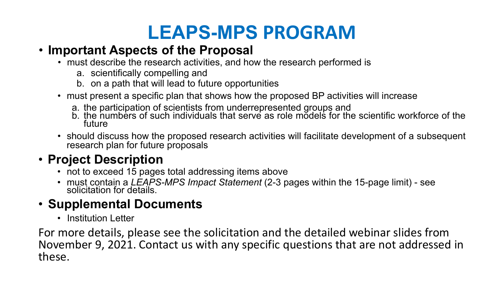## **LEAPS-MPS PROGRAM**

### • **Important Aspects of the Proposal**

- must describe the research activities, and how the research performed is
	- a. scientifically compelling and
	- b. on a path that will lead to future opportunities
- must present a specific plan that shows how the proposed BP activities will increase
	-
	- a. the participation of scientists from underrepresented groups and<br>b. the numbers of such individuals that serve as role models for the scientific workforce of the future
- should discuss how the proposed research activities will facilitate development of a subsequent research plan for future proposals

### • **Project Description**

- not to exceed 15 pages total addressing items above
- must contain a *LEAPS-MPS Impact Statement* (2-3 pages within the 15-page limit) see solicitation for details.

### • **Supplemental Documents**

• Institution Letter

For more details, please see the solicitation and the detailed webinar slides from November 9, 2021. Contact us with any specific questions that are not addressed in these.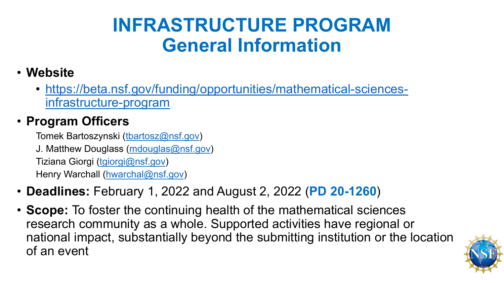## **INFRASTRUCTURE PROGRAM General Information**

- **Website**
	- [https://beta.nsf.gov/funding/opportunities/mathematical-sciences](https://beta.nsf.gov/funding/opportunities/mathematical-sciences-infrastructure-program)infrastructure-program

### • **Program Officers**

Tomek Bartoszynski [\(tbartosz@nsf.gov\)](mailto:tbartosz@nsf.gov) J. Matthew Douglass [\(mdouglas@nsf.gov\)](mailto:mdouglas@nsf.gov) Tiziana Giorgi ([tgiorgi@nsf.gov](mailto:tgiorgi@nsf.gov)) Henry Warchall ([hwarchal@nsf.gov](mailto:hwarchal@nsf.gov))

- **Deadlines:** February 1, 2022 and August 2, 2022 (**PD 20-1260**)
- **Scope:** To foster the continuing health of the mathematical sciences research community as a whole. Supported activities have regional or national impact, substantially beyond the submitting institution or the location of an event

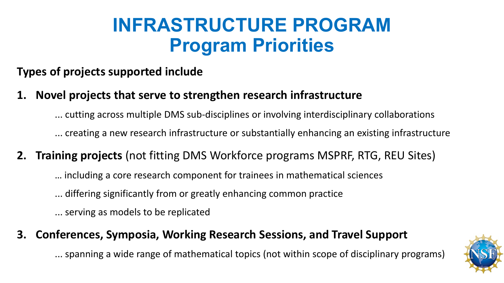## **INFRASTRUCTURE PROGRAM Program Priorities**

### **Types of projects supported include**

**1. Novel projects that serve to strengthen research infrastructure**

... cutting across multiple DMS sub-disciplines or involving interdisciplinary collaborations

... creating a new research infrastructure or substantially enhancing an existing infrastructure

- **2. Training projects** (not fitting DMS Workforce programs MSPRF, RTG, REU Sites)
	- … including a core research component for trainees in mathematical sciences
	- ... differing significantly from or greatly enhancing common practice

... serving as models to be replicated

#### **3. Conferences, Symposia, Working Research Sessions, and Travel Support**

... spanning a wide range of mathematical topics (not within scope of disciplinary programs)

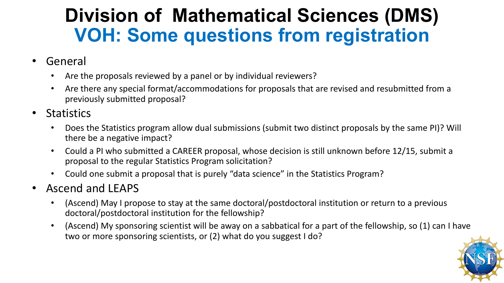## **Division of Mathematical Sciences (DMS) VOH: Some questions from registration**

- General
	- Are the proposals reviewed by a panel or by individual reviewers?
	- Are there any special format/accommodations for proposals that are revised and resubmitted from a previously submitted proposal?
- Statistics
	- Does the Statistics program allow dual submissions (submit two distinct proposals by the same PI)? Will there be a negative impact?
	- Could a PI who submitted a CAREER proposal, whose decision is still unknown before 12/15, submit a proposal to the regular Statistics Program solicitation?
	- Could one submit a proposal that is purely "data science" in the Statistics Program?
- Ascend and LEAPS
	- (Ascend) May I propose to stay at the same doctoral/postdoctoral institution or return to a previous doctoral/postdoctoral institution for the fellowship?
	- (Ascend) My sponsoring scientist will be away on a sabbatical for a part of the fellowship, so (1) can I have two or more sponsoring scientists, or (2) what do you suggest I do?